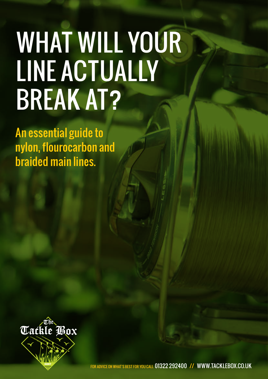# WHAT WILL YOUR LINE ACTUALLY BREAK AT?

An essential guide to nylon, flourocarbon and braided main lines.



FOR ADVICE ON WHAT'S BEST FOR YOU CALL 01322 292400 // WWW.TACKLEBOX.CO.UK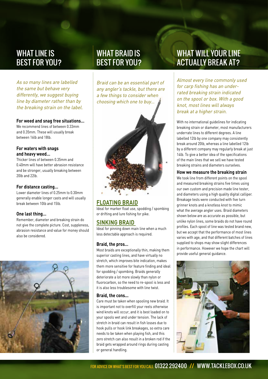### WHAT LINE IS BEST FOR YOU?

As so many lines are labelled the same but behave very differently, we suggest buying line by diameter rather than by the breaking strain on the label.

#### **For weed and snag free situations…**

We recommend lines of between 0.33mm and 0.35mm. These will usually break between 16lb and 18lb.

#### **For waters with snags and heavy weed…**

Thicker lines of between 0.35mm and 0.40mm will have better abrasion resistance and be stronger, usually breaking between 20lb and 22lb.

#### **For distance casting…**

Lower diameter lines of 0.25mm to 0.30mm generally enable longer casts and will usually break between 10lb and 15lb.

#### **One last thing…**

Remember, diameter and breaking strain do not give the complete picture. Cost, suppleness, abrasion resistance and value for money should also be considered.



### WHAT BRAID IS BEST FOR YOU?

Braid can be an essential part of any angler's tackle, but there are a few things to consider when choosing which one to buy…



### **FLOATING BRAID**

Ideal for marker float use, spodding / spombing or drifting and lure fishing for pike.

#### **SINKING BRAID**

Ideal for pinning down main line when a much less detectable approach is required.

#### **Braid, the pros…**

Most braids are exceptionally thin, making them superior casting lines, and have virtually no stretch, which improves bite indication, makes them more sensitive for feature finding and ideal for spodding / spombing. Braids generally deteriorate a lot more slowly than nylon or fluorocarbon, so the need to re-spool is less and it is also less troublesome with line twist.

#### **Braid, the cons...**

Care must be taken when spooling new braid. It is important not to overfill your reels otherwise wind knots will occur, and it is best loaded on to your spools wet and under tension. The lack of stretch in braid can result in fish losses due to hook pulls or hook link breakages, so extra care needs to be taken when playing fish, and this zero stretch can also result in a broken rod if the braid gets wrapped around rings during casting or general handling.

### WHAT WILL YOUR LINE ACTUALLY BREAK AT?

Almost every line commonly used for carp fishing has an underrated breaking strain indicated on the spool or box. With a good knot, most lines will always break at a higher strain.

With no international guidelines for indicating breaking strain or diameter, most manufacturers underrate lines to different degrees. A line labelled 12lb by one company may consistently break around 20lb, whereas a line labelled 12lb by a different company may regularly break at just 14lb. To give a better idea of the specifications of the main lines that we sell we have tested breaking strains and diameters ourselves.

#### **How we measure the breaking strain**

We took line from different points on the spool and measured breaking strains five times using our own custom and precision made line tester, and diameters using a high quality digital calliper. Breakage tests were conducted with five turn grinner knots and a knotless knot to mimic what the average angler uses. Braid diameters shown below are as accurate as possible, but unlike nylon lines, some braids do not have round profiles. Each spool of line was tested brand new, but we accept that the performance of most lines varies with age, and that different batches of lines supplied to shops may show slight differences in performance. However we hope the chart will provide useful general guidance.

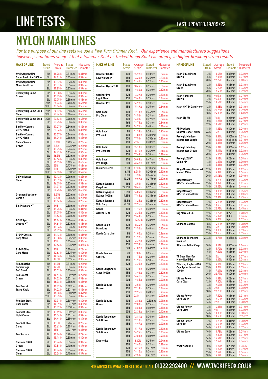# **LINE TESTS** LAST UPDATED: 19/05/22

# NYLON MAIN LINES

For the purpose of our line tests we use a Five Turn Grinner Knot. Our experience and manufacturers suggestions however, sometimes suggest that a Palomar Knot or Tucked Blood Knot can often give higher breaking strain results.

| <b>MAKE OF LINE</b>                             | <b>Stated</b><br><b>Strain</b>                           | Average<br><b>Strain</b>                        | <b>Stated</b>                                           | Measured<br>Diameter Diameter                         | <b>MAKE OF LINE</b>                         | <b>Stated</b><br><b>Strain</b>                           | Average<br><b>Strain</b>      | <b>Stated</b>                       | Measured<br>Diameter Diameter       | <b>MAKE OF LINE</b>                                                               | Sti<br>St      |
|-------------------------------------------------|----------------------------------------------------------|-------------------------------------------------|---------------------------------------------------------|-------------------------------------------------------|---------------------------------------------|----------------------------------------------------------|-------------------------------|-------------------------------------|-------------------------------------|-----------------------------------------------------------------------------------|----------------|
| Avid Carp Outline<br>Camo Reel Line 1000m       | 12 <sub>lb</sub><br>15 <sub>lb</sub>                     | 14.78lb<br>16.21lb                              | $0.31$ mm<br>$0.33$ mm                                  | $0.31$ mm<br>$0.32$ mm                                | Gardner GT-HD<br><b>Low Vis Green</b>       | 12 <sub>lb</sub><br>15 <sub>lb</sub>                     | 15.29lb<br>14.30lb            | $0.33$ mm<br>0.35mm                 | $0.32$ mm<br>$0.33$ mm              | <b>Nash Bullet Mono</b><br><b>Brown</b>                                           |                |
| Avid Carp Outline<br><b>Mono Reel Line</b>      | 12 <sub>lb</sub><br>15 <sub>lb</sub><br>18lb             | 13.82lb<br>15.51lb<br>19.85lb                   | $0.32$ mm<br>$0.35$ mm<br>$0.37$ mm                     | 0.32mm<br>$0.34$ mm<br>$0.37$ mm                      | Gardner Hydro Tuff                          | 18lb<br>12 <sub>lb</sub><br>15 <sub>lb</sub>             | 21.45lb<br>18.44lb<br>19.80lb | 0.39mm<br>0.35mm<br>$0.38$ mm       | $0.37$ mm<br>$0.34$ mm<br>$0.37$ mm | <b>Nash Bullet Mono</b><br>Green                                                  |                |
| <b>Berkley Big Game</b><br>Green                | 10 <sub>lb</sub><br>12 <sub>lb</sub>                     | 13.88lb<br>15.75lb<br>20.75lb                   | $0.31$ mm<br>0.36mm                                     | 0.30 <sub>mm</sub><br>$0.34$ mm<br>0.38 <sub>mm</sub> | <b>Gardner Pro</b><br><b>Light Blend</b>    | 12 <sub>lb</sub><br>15 <sub>lb</sub>                     | 14.29lb<br>15.49lb            | $0.30$ mm<br>$0.35$ mm              | $0.30$ mm<br>$0.34$ mm              | <b>Nash Hardcore</b><br>Brown                                                     |                |
|                                                 | 15 <sub>lb</sub><br>25 <sub>lb</sub><br>30lb             | 25.96lb<br>40.46lb                              | $0.38$ mm<br>$0.48$ mm<br>0.56mm                        | $0.47$ mm<br>0.55mm                                   | Gardner Pro                                 | 12 <sub>lb</sub><br>15 <sub>lb</sub>                     | 14.29lb<br>15.49lb            | $0.30$ mm<br>$0.35$ mm              | $0.30$ mm<br>$0.34$ mm              | Nash NXT D-Cam Mono                                                               |                |
| <b>Berkley Big Game Bulk</b><br>Clear           | 25 <sub>lb</sub><br>30 <sub>lb</sub>                     | 24.12lb<br>27.74lb                              | $0.50$ mm<br>$0.48$ mm                                  | $0.48$ mm<br>0.55mm                                   | <b>Gold Label</b><br>Pro Clear              | 10 <sub>lb</sub><br>12 <sub>lb</sub>                     | 12.13lb<br>14.5lb             | $0.26$ mm<br>$0.29$ mm              | $0.26$ mm<br>$0.29$ mm              |                                                                                   |                |
| <b>Berkley Big Game Bulk</b><br>Green           | 20 <sub>lb</sub><br>15 <sub>lb</sub>                     | 20.83lb<br>20.75lb                              | 0.46mm<br>$0.38$ mm                                     | $0.45$ mm<br>$0.38$ mm                                |                                             | 14 <sub>lb</sub><br>16 <sub>lb</sub>                     | 16.3lb<br>19.75lb             | $0.32$ mm<br>$0.34$ mm              | $0.32$ mm<br>$0.34$ mm              | Nash Zig Flo                                                                      |                |
| <b>Berkley Connect</b><br>CM70 Mono             | 12 <sub>lb</sub><br>15 <sub>lb</sub>                     | 17.07lb<br>21.03lb                              | 0.34mm<br>0.38mm                                        | $0.32$ mm<br>$0.37$ mm                                | <b>Gold Label</b>                           | 20 <sub>lb</sub><br>8lb                                  | 24.75lb<br>11.38lb            | $0.40$ mm<br>$0.28$ mm              | $0.38$ mm<br>$0.27$ mm              | <b>PB Products</b><br>Control Mono 1250m                                          |                |
| <b>Berkley Connect</b><br>CM90 Mono             | 12 <sub>lb</sub><br>15 <sub>lb</sub>                     | 15.27lb<br>19.29lb                              | 0.34mm<br>$0.38$ mm                                     | $0.33$ mm<br>0.35mm                                   | Pro Gold                                    | 10 <sub>lb</sub><br>12 <sub>lb</sub>                     | 11.88lb<br>17.5lb             | $0.305$ mm<br>0.355mm               | $0.29$ mm<br>0.35mm                 | <b>Prologic Mimicry</b><br>Interceptor Jungle                                     |                |
| <b>Daiwa Sensor</b><br><b>Brown</b>             | 4 <sub>th</sub><br>6lb<br>8lb                            | 5.88lb<br>8.5lb<br>10.75lb                      | 0.205mm 0.20mm<br>0.235mm 0.22mm<br>$0.26$ mm           | $0.25$ mm                                             | <b>Gold Label</b><br><b>Pro Distance</b>    | 15 <sub>lb</sub><br>10lb<br>12 <sub>lb</sub>             | 22lb<br>15.13lb<br>18.75lb    | $0.38$ mm<br>$0.30$ mm<br>$0.35$ mm | $0.38$ mm<br>$0.29$ mm<br>$0.34$ mm | <b>Prologic Mimicry</b><br>Interceptor Urban                                      |                |
|                                                 | 10 <sub>lb</sub><br>12 <sub>lb</sub><br>15 <sub>lb</sub> | 14.63lb<br>16.5lb<br>17.63lb                    | $0.31$ mm<br>$0.33$ mm<br>$0.37$ mm                     | $0.30$ mm<br>$0.32$ mm<br>0.36mm                      | <b>Gold Label</b>                           | 15 <sub>lb</sub><br>27lb                                 | 17.63lb<br>30.08lb            | $0.38$ mm<br>$0.47$ mm              | $0.38$ mm<br>$0.48$ mm              | <b>Prologic XLNT</b>                                                              |                |
|                                                 | 18lb<br>20 <sub>lb</sub><br>25 <sub>lb</sub>             | 21.63lb<br>25 <sub>lb</sub><br>31 <sub>lb</sub> | 0.405mm 0.40mm<br>0.435mm 0.43mm<br>0.520mm 0.51mm      |                                                       | Pro Tough<br><b>Guru Pulse Pro</b>          | 36lb<br>5.3 <sub>lb</sub>                                | 23.49lb<br>4.13lb             | $0.51$ mm<br>0.182mm                | $0.51$ mm<br>$0.17$ mm              | <b>Camo HP</b><br><b>RidgeMonkey Monocast</b>                                     |                |
| <b>Daiwa Sensor</b><br>Clear                    | 30 <sub>lb</sub><br>8lb<br>10 <sub>lb</sub>              | 32.13lb<br>10.12lb<br>15.87lb                   | 0.570mm 0.57mm<br>0.26mm<br>$0.31$ mm                   | $0.25$ mm<br>$0.30$ mm                                |                                             | $6.1$ lb<br>8.8 <sub>lb</sub><br>10.2lb                  | 6.38lb<br>8.83lb<br>10.09lb   | $0.205$ mm<br>$0.247$ mm<br>0.279mm | $0.20$ mm<br>$0.24$ mm<br>$0.27$ mm | <b>Mono 1000m</b><br>RidgeMonkey                                                  |                |
|                                                 | 12 <sub>lb</sub><br>15 <sub>lb</sub><br>18lb             | 16.75lb<br>21.37lb<br>24.25lb                   | $0.33$ mm<br>$0.37$ mm<br>0.405mm                       | $0.32$ mm<br>0.35mm                                   | Katran Synapse<br>Carp Line                 | 18 <sub>lb</sub><br>22.35lb                              | 12.5lb<br>18.65lb             | $0.331$ mm<br>$0.37$ mm             | $0.32$ mm<br>0.36mm                 | <b>RM-Tec Mono Brown</b>                                                          |                |
| <b>Drennan Specimen</b><br>Camo XT              | 6lb<br>8lb                                               | 8.51lb<br>9.50lb                                | $0.23$ mm<br>0.26mm                                     | 0.40mm<br>$0.24$ mm<br>$0.26$ mm                      | Katran Synapse<br>Eclipse 1000m             | 15.55lb<br>17.85lb                                       | 16.04lb<br>17.65lb            | 0.309mm<br>$0.331$ mm               | $0.31$ mm<br>$0.33$ mm              | <b>RidgeMonkey</b><br><b>RM-Tec Mono Clear</b>                                    |                |
| E-S-P Syncro XT                                 | 10 <sub>lb</sub><br>10 <sub>lb</sub><br>12 <sub>lb</sub> | 10.44lb<br>14 <sub>lb</sub><br>15.75lb          | $0.28$ mm<br>$0.30$ mm<br>$0.33$ mm                     | $0.28$ mm<br>$0.29$ mm<br>$0.31$ mm                   | Katran Synapse<br><b>Wild Carp</b><br>Korda | 15.5lb<br>20.5lb<br>10lb                                 | 16.25lb<br>19.95lb<br>11.75lb | 0.328mm<br>0.365mm<br>$0.30$ mm     | $0.33$ mm<br>0.36mm<br>$0.30$ mm    | <b>RidgeMonkey</b><br><b>RM-Tec Mono Green</b>                                    |                |
|                                                 | 15 <sub>lb</sub><br>18lb                                 | 21.75lb<br>21.63lb                              | $0.37$ mm<br>$0.40$ mm                                  | 0.35mm<br>0.39mm                                      | Adrena-Line                                 | 12 <sub>lb</sub><br>15 <sub>lb</sub>                     | 13.25lb<br>15.63lb            | $0.33$ mm<br>$0.35$ mm              | $0.33$ mm<br>0.36mm                 | <b>Rig Marole FLX</b>                                                             |                |
| E-S-P Syncro<br><b>Loaded XT</b>                | 10 <sub>lb</sub><br>12 <sub>lb</sub><br>15 <sub>lb</sub> | 12.84lb<br>14.64lb<br>18.34lb                   | 0.30mm<br>$0.33$ mm<br>$0.37$ mm                        | $0.31$ mm<br>$0.33$ mm<br>$0.37$ mm                   | Korda Basix<br><b>Main Line</b>             | 18lb<br>12 <sub>lb</sub><br>15 <sub>lb</sub>             | 17.63lb<br>18.44lb<br>19.55lb | $0.38$ mm<br>0.35mm<br>$0.40$ mm    | 0.39mm<br>0.36mm<br>$0.40$ mm       | Shimano Catana                                                                    |                |
| E.S.P Crystal<br><b>Carp Mono</b>               | 18lb<br>10 <sub>lb</sub><br>12 <sub>lb</sub>             | 21.99lb<br>11.13lb<br>13.38lb                   | $0.40$ mm<br>0.30mm<br>$0.325$ mm                       | $0.40$ mm<br>$0.31$ mm<br>$0.32$ mm                   | Korda Carp Line                             | 8lb<br>10 <sub>lb</sub>                                  | 11.02lb<br>11.92lb            | $0.28$ mm<br>0.3 <sub>mm</sub>      | $0.26$ mm<br>$0.28$ mm              | <b>Shimano Technium</b>                                                           | 2 <sub>0</sub> |
|                                                 | 15 <sub>lb</sub><br>18 <sub>lb</sub>                     | 15 <sub>lb</sub><br>17.63lb                     | $0.35$ mm<br>0.375mm                                    | $0.36$ mm<br>0.375mm                                  |                                             | 12 <sub>lb</sub><br>15 <sub>lb</sub><br>20 <sub>lb</sub> | 13.29lb<br>17.58lb<br>21.07lb | $0.35$ mm<br>$0.4$ mm<br>$0.43$ mm  | $0.33$ mm<br>$0.38$ mm<br>$0.41$ mm | <b>Invisitec</b><br><b>Shimano Tribal Carp</b>                                    |                |
| E.S.P Olive<br><b>Carp Mono</b>                 | 10 <sub>lb</sub><br>12 <sub>lb</sub><br>15 <sub>lb</sub> | 11 <sub>lb</sub><br>12.63lb<br>14.13lb          | $0.30$ mm<br>0.325mm 0.30mm<br>$0.35$ mm                | $0.28$ mm<br>$0.32$ mm                                | Korda Kruiser<br>Control                    | 6lb<br>8lb                                               | 9.38lb<br>11.75lb             | $0.25$ mm<br>$0.28$ mm              | $0.24$ mm<br>$0.28$ mm              | TF Gear Nan-Tec                                                                   |                |
| <b>Fox Adaptive</b><br>Camouflage               | 18 <sub>lb</sub><br>13 <sub>lb</sub><br>16 <sub>lb</sub> | 16.5lb<br>11.9lb<br>12.7lb                      | 0.375mm 0.35mm<br>0.33mm 0.32mm                         | $0.31$ mm $0.29$ mm                                   |                                             | 10 <sub>lb</sub><br>12lb                                 | 11.25lb<br>16.25lb            | $0.30$ mm<br>$0.33$ mm              | $0.29$ mm<br>$0.33$ mm              | <b>Mono Red Mist</b><br><b>Thinking Anglers OGX</b><br><b>Copolymer Main Line</b> |                |
| <b>Soft Steel</b><br><b>Fox Exocet</b><br>Green | 18 <sub>lb</sub><br>13 <sub>lb</sub><br>16 <sub>lb</sub> | 13.02lb<br>14.67lb<br>14.22lb                   | $0.35$ mm $0.33$ mm<br>0.309mm 0.29mm<br>0.331mm 0.32mm |                                                       | Korda LongChuck<br>Clear 1000m              | 12 <sub>lb</sub><br>15 <sub>lb</sub><br>17 <sub>lb</sub> | 11.78lb<br>13.93lb<br>16.41lb | $0.30$ mm<br>$0.33$ mm<br>$0.35$ mm | $0.30$ mm<br>$0.32$ mm<br>0.35mm    | 1000m<br><b>Ultima Power</b>                                                      |                |
| <b>Fox Exocet</b>                               | 18 <sub>lb</sub><br>13 <sub>lb</sub>                     | 16.36lb<br>12.79lb                              | $0.35$ mm $0.33$ mm<br>0.309mm 0.31mm                   |                                                       | Korda Subline                               | 20 <sub>lb</sub><br>10 <sub>lb</sub>                     | 19.85lb<br>13.5lb             | $0.40$ mm<br>$0.30$ mm              | $0.40$ mm<br>$0.30$ mm              | Carp Clear                                                                        |                |
| Trans Khaki                                     | 16 <sub>lb</sub><br>18lb<br>20lb                         | 14.02lb<br>16.38lb<br>18.93lb                   | 0.331mm 0.32mm<br>0.350mm 0.34mm<br>$0.37$ mm $0.37$ mm |                                                       | Brown                                       | 12 <sub>lb</sub><br>15 <sub>lb</sub><br>20 <sub>lb</sub> | 17.13lb<br>19.25lb<br>22lb    | $0.35$ mm<br>$0.40$ mm<br>$0.43$ mm | $0.36$ mm<br>$0.40$ mm<br>$0.43$ mm | <b>Ultima Power</b>                                                               |                |
| <b>Fox Soft Steel</b><br>Dark Camo              | 13 <sub>lb</sub><br>16 <sub>lb</sub><br>18 <sub>lb</sub> | 13.31lb<br>14.39lb<br>15.49lb                   | 0.309mm 0.30mm<br>0.331mm 0.32mm<br>0.350mm 0.34mm      |                                                       | Korda Subline<br>Green                      | 10 <sub>lb</sub><br>12 <sub>lb</sub>                     | 12.88lb<br>17.88lb<br>18.88lb | $0.30$ mm<br>$0.35$ mm              | $0.29$ mm<br>0.35mm                 | Carp Green<br><b>Ultima Power</b>                                                 |                |
| <b>Fox Soft Steel</b><br><b>Light Camo</b>      | 13 <sub>lb</sub><br>16lb                                 | 13.49lb<br>13.54lb                              | 0.309mm 0.30mm<br>0.331mm 0.32mm                        |                                                       | Korda Touchdown                             | 15 <sub>lb</sub><br>20 <sub>lb</sub><br>10 <sub>lb</sub> | 22.38lb<br>12.81lb            | $0.40$ mm<br>$0.43$ mm<br>$0.30$ mm | $0.39$ mm<br>$0.42$ mm<br>$0.29$ mm | Carp Ultra                                                                        |                |
| <b>Fox Soft Steel</b><br>Camo                   | 18 <sub>lb</sub><br>10 <sub>lb</sub><br>12 <sub>lb</sub> | 14.44lb<br>13.5lb<br>13.63lb                    | 0.350mm 0.34mm<br>0.286mm 0.28mm<br>0.309mm 0.31mm      |                                                       | Sub Brown                                   | 12 <sub>lb</sub><br>15 <sub>lb</sub>                     | 17.13lb<br>19.97lb            | $0.35$ mm<br>$0.40$ mm              | $0.34$ mm<br>$0.40$ mm              | <b>Ultima Power</b><br>Carp XR                                                    |                |
| <b>Fox Surface</b>                              | 15 <sub>lb</sub><br>12 <sub>lb</sub><br>15 <sub>lb</sub> | 15 <sub>lb</sub><br>12.96lb<br>15.16lb          | $0.331$ mm $0.33$ mm<br>$0.28$ mm<br>$0.30$ mm          | $0.27$ mm<br>$0.30$ mm                                | Korda Touchdown<br>Sub Green                | 10 <sub>lb</sub><br>12 <sub>lb</sub><br>15 <sub>lb</sub> | 15.17lb<br>16.96lb<br>22.83lb | $0.30$ mm<br>$0.35$ mm<br>$0.40$ mm | $0.30$ mm<br>0.35mm<br>$0.40$ mm    | Ultima Zero                                                                       |                |
| Gardner GR60<br>Green                           | 12 <sub>lb</sub><br>15 <sub>lb</sub>                     | 15.76lb<br>17.84lb                              | 0.35mm<br>$0.40$ mm                                     | $0.34$ mm<br>$0.39$ mm                                | Krystonite                                  | 8lb<br>10 <sub>lb</sub>                                  | 8.62lb<br>13.62lb             | 0.25mm<br>$0.29$ mm                 | $0.24$ mm<br>$0.28$ mm              | <b>Wychwood DPF</b>                                                               |                |
| Gardner GR60<br>Clear                           | 12 <sub>lb</sub><br>15 <sub>lb</sub>                     | 17.76lb<br>20.36lb                              | 0.35mm<br>$0.40$ mm                                     | $0.34$ mm<br>$0.39$ mm                                |                                             | 12 <sub>lb</sub><br>15 <sub>lb</sub><br>18 <sub>lb</sub> | 13.75lb<br>16.12lb<br>22.5lb  | $0.31$ mm<br>0.36mm<br>$0.41$ mm    | $0.30$ mm<br>$0.35$ mm<br>$0.40$ mm |                                                                                   |                |
|                                                 |                                                          |                                                 |                                                         |                                                       |                                             |                                                          |                               |                                     |                                     |                                                                                   |                |

| <b>MAKE OF LINE</b>                                                | <b>Stated</b><br>Strain                                                      | Average<br><b>Strain</b>                         | <b>Stated</b><br><b>Diameter</b>                          | Measured<br><b>Diameter</b>                                                 |
|--------------------------------------------------------------------|------------------------------------------------------------------------------|--------------------------------------------------|-----------------------------------------------------------|-----------------------------------------------------------------------------|
| <b>Nash Bullet Mono</b><br><b>Brown</b>                            | 12 <sub>lb</sub><br>15 <sub>lb</sub><br>20 <sub>lb</sub>                     | 13.65lb<br>17.38lb<br>22.27lb                    | $0.33$ mm<br>$0.37$ mm<br>$0.40$ mm                       | $0.33$ mm<br>$0.37$ mm<br>$0.40$ mm                                         |
| <b>Nash Bullet Mono</b><br>Green                                   | 12 <sub>lb</sub><br>15 <sub>lb</sub><br>20 <sub>lb</sub>                     | 13.53lb<br>16.79lb<br>19.40lb                    | $0.33$ mm<br>$0.37$ mm<br>$0.40$ mm                       | $0.33$ mm<br>$0.36$ mm<br>$0.39$ mm                                         |
| <b>Nash Hardcore</b><br><b>Brown</b>                               | 10 <sub>lb</sub><br>12 <sub>lb</sub><br>15 <sub>lb</sub>                     | 9.05 <sub>1</sub> b<br>9.65lb<br>13.54lb         | 0.28 <sub>mm</sub><br>$0.30$ mm<br>$0.35$ mm              | $0.27$ mm<br>$0.29$ mm<br>$0.34$ mm                                         |
| Nash NXT D-Cam Mono                                                | 12 <sub>lb</sub><br>15 <sub>lb</sub><br>18lb                                 | 18.38lb<br>21.25lb<br>24.88lb                    | $0.35$ mm<br>$0.38$ mm<br>$0.43$ mm                       | $0.34$ mm<br>$0.39$ mm<br>$0.43$ mm                                         |
| Nash Zig Flo                                                       | 8lb<br>10 <sub>lb</sub><br>12 <sub>lb</sub>                                  | 7.8 <sub>lb</sub><br>11.25lb<br>10.61lb          | $0.23$ mm<br>$0.28$ mm<br>0.30 <sub>mm</sub>              | $0.22$ mm<br>$0.27$ mm<br>$0.29$ mm                                         |
| <b>PB Products</b><br>Control Mono 1250m                           | 18lb<br>24lb                                                                 | 11.83lb<br>16lb                                  | $0.30$ mm<br>$0.35$ mm                                    | $0.29$ mm<br>$0.35$ mm                                                      |
| <b>Prologic Mimicry</b><br>Interceptor Jungle                      | 15 <sub>lb</sub><br>17 <sub>lb</sub><br>20 <sub>lb</sub>                     | 13.37lb<br>13.07lb<br>15.88lb                    | 0.309mm<br>$0.331$ mm<br>$0.37$ mm                        | $0.29$ mm<br>$0.31$ mm<br>$0.35$ mm                                         |
| <b>Prologic Mimicry</b><br><b>Interceptor Urban</b>                | 15 <sub>lb</sub><br>17 <sub>lb</sub><br>20 <sub>lb</sub>                     | 14.09lb<br>15.11lb<br>16.06lb                    | 0.309mm<br>$0.331$ mm<br>$0.37$ mm                        | $0.29$ mm<br>$0.32$ mm<br>$0.35$ mm                                         |
| <b>Prologic XLNT</b><br>Camo HP                                    | 12 <sub>1</sub> b<br>14 <sub>lb</sub><br>16lb                                | 13.18lb<br>14.27lb<br>15.38lb                    | $0.28$ mm<br>0.30 <sub>mm</sub><br>$0.33$ mm              | $0.28$ mm<br>$0.30$ mm<br>$0.34$ mm                                         |
| <b>RidgeMonkey Monocast</b><br><b>Mono 1000m</b>                   | 12 <sub>lb</sub><br>15 <sub>lb</sub><br>20 <sub>lb</sub>                     | 10.88lb<br>16.37lb<br>21.46lb                    | $0.30$ mm<br>$0.35$ mm<br>$0.40$ mm                       | $0.29$ mm<br>$0.34$ mm<br>$0.39$ mm                                         |
| <b>RidgeMonkey</b><br><b>RM-Tec Mono Brown</b>                     | 12 <sub>lb</sub><br>15 <sub>lb</sub><br>18lb                                 | 13.7lb<br>18.39lb<br>23.03lb                     | $0.35$ mm<br>0.38 <sub>mm</sub><br>$0.42$ mm              | 0.36mm<br>$0.41$ mm<br>0.46mm                                               |
| <b>RidgeMonkey</b><br><b>RM-Tec Mono Clear</b>                     | 12 <sub>lb</sub><br>15 <sub>lb</sub><br>18lb                                 | 13.85lb<br>19.85lb<br>22.38lb                    | $0.35$ mm<br>$0.38$ mm<br>$0.42$ mm                       | $0.35$ mm<br>$0.43$ mm<br>$0.45$ mm                                         |
| RidgeMonkey<br><b>RM-Tec Mono Green</b>                            | 12 <sub>lb</sub><br>15 <sub>lb</sub><br>18 <sub>lb</sub>                     | 14.93lb<br>18.6lb<br>22.92lb                     | $0.35$ mm<br>$0.38$ mm<br>$0.42$ mm                       | 0.36mm<br>$0.41$ mm<br>$0.45$ mm                                            |
| <b>Rig Marole FLX</b>                                              | 12 <sub>lb</sub><br>15 <sub>lb</sub><br>18lb                                 | 11.29lb<br>15.02lb<br>16.76lb                    | 0.291<br>0.304<br>N/A                                     | $0.28$ mm<br>0.3 <sub>mm</sub><br>$0.32$ mm                                 |
| Shimano Catana                                                     | 8lb<br>10 <sub>lb</sub><br>12 <sub>lb</sub><br>15 <sub>lb</sub>              | 14.13lb<br>16 <sub>1</sub><br>18.88lb<br>20.5lb  | $0.28$ mm<br>$0.30$ mm<br>$0.33$ mm<br>$0.35$ mm          | $0.28$ mm<br>$0.30$ mm<br>$0.33$ mm<br>$0.35$ mm                            |
| <b>Shimano Technium</b><br>Invisitec                               | 26.4lb                                                                       | 18.71lb                                          | $0.355$ mm                                                | 0.38 <sub>mm</sub>                                                          |
| <b>Shimano Tribal Carp</b>                                         | 10 <sub>lb</sub><br>12 <sub>lb</sub><br>15 <sub>lb</sub>                     | 13.41lb<br>15.72lb<br>19.52lb                    | $0.305$ mm<br>$0.33$ mm<br>$0.38$ mm                      | $0.26$ mm<br>$0.32$ mm<br>$0.39$ mm                                         |
| <b>TF Gear Nan-Tec</b><br><b>Mono Red Mist</b>                     | 12 <sub>lb</sub><br>15 <sub>lb</sub>                                         | 12 <sub>1b</sub><br>16.62lb                      | $0.30$ mm<br>$0.35$ mm                                    | $0.27$ mm<br>$0.34$ mm                                                      |
| <b>Thinking Anglers OGX</b><br><b>Copolymer Main Line</b><br>1000m | 12 <sub>lb</sub><br>15 <sub>lb</sub><br>18 <sub>lb</sub><br>20lb             | 16.44lb<br>18.74lb<br>17.67lb<br>22.77lb         | $0.33$ mm<br>$0.35$ mm<br>$0.37$ mm<br>0.40mm             | $0.33$ mm<br>0.35 <sub>mm</sub><br>0.38 <sub>mm</sub><br>0.40 <sub>mm</sub> |
| Ultima Power<br><b>Carp Clear</b>                                  | 10lb<br>12lb<br>14lb<br>16 <sub>lb</sub><br>18 <sub>lb</sub>                 | 14.38lb<br>17.50lb<br>19.63lb<br>22lb<br>27.25lb | 0.28mm<br>$0.31$ mm<br>0.33mm<br>0.36mm<br>0.38mm         | $0.29$ mm<br>$0.31$ mm<br>$0.34$ mm<br>0.38 <sub>mm</sub><br>$0.42$ mm      |
| <b>Ultima Power</b><br>Carp Green                                  | 12 <sub>lb</sub><br>14lb<br>16 <sub>lb</sub>                                 | 17.50lb<br>19.63lb<br>22lb                       | $0.31$ mm<br>$0.33$ mm<br>$0.36$ mm                       | $0.31$ mm<br>$0.34$ mm<br>0.38 <sub>mm</sub>                                |
| Ultima Power<br>Carp Ultra                                         | 12 <sub>lb</sub><br>14lb<br>16lb<br>18lb                                     | 14.38lb<br>9lb<br>10.88lb<br>13.63lb             | $0.31$ mm<br>$0.33$ mm<br>$0.36$ mm<br>0.38 <sub>mm</sub> | $0.31$ mm<br>$0.33$ mm<br>0.38 <sub>mm</sub><br>???????                     |
| <b>Ultima Power</b><br>Carp XR                                     | 12 <sub>lb</sub><br>14 <sub>lb</sub><br>16 <sub>lb</sub>                     | 11.73lb<br>15.53lb<br>16.35lb                    | $0.31$ mm<br>$0.33$ mm<br>0.36mm                          | 0.30 <sub>mm</sub><br>$0.36$ mm<br>0.37 <sub>mm</sub>                       |
| <b>Ultima Zero</b>                                                 | 10 <sub>lb</sub><br>12 <sub>lb</sub><br>14 <sub>lb</sub><br>16 <sub>lb</sub> | 10.78lb<br>12.80lb<br>14.41lb<br>12.42lb         | 0.28mm<br>$0.30$ mm<br>0.32mm<br>0.35mm                   | $0.29$ mm<br>$0.31$ mm<br>$0.32$ mm<br>0.36mm                               |
| <b>Wychwood DPF</b>                                                | 10 <sub>lb</sub><br>12lb<br>15 <sub>lb</sub><br>18lb                         | 11.97lb<br>11.99lb<br>12.59lb<br>16.42lb         | 0.28mm<br>0.3mm<br>0.32mm<br>0.35mm                       | 0.3 <sub>mm</sub><br>$0.32$ mm<br>0.34 <sub>mm</sub><br>0.36mm              |